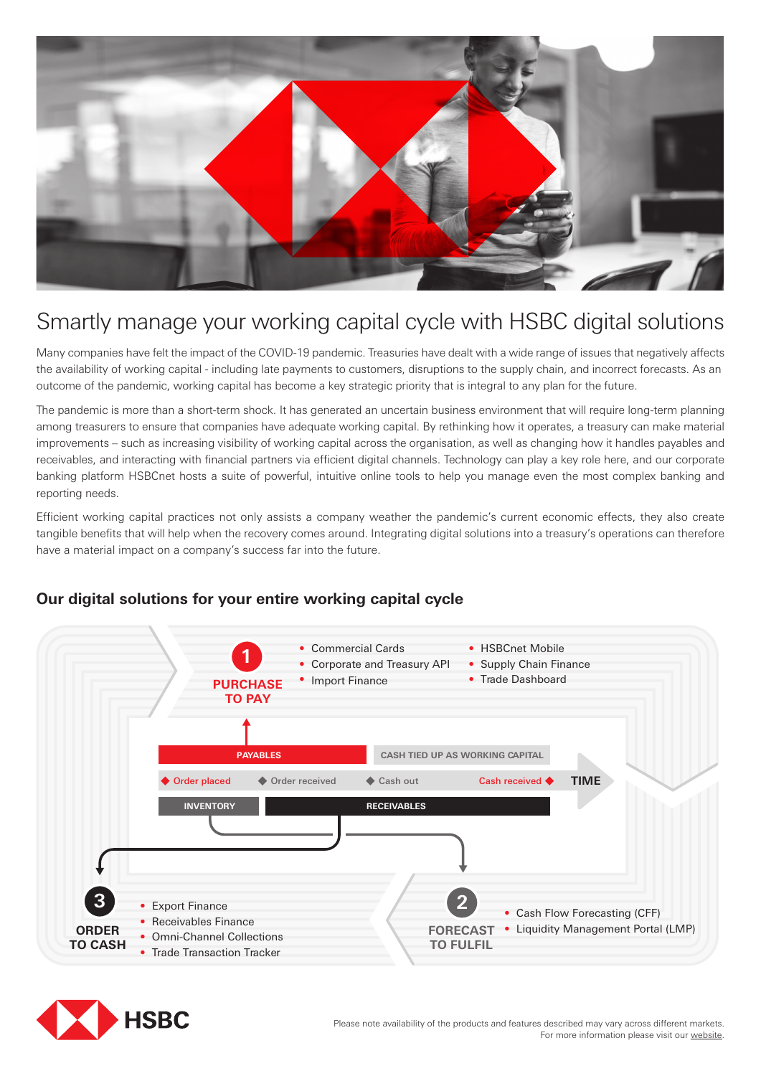

# Smartly manage your working capital cycle with HSBC digital solutions

Many companies have felt the impact of the COVID-19 pandemic. Treasuries have dealt with a wide range of issues that negatively affects the availability of working capital - including late payments to customers, disruptions to the supply chain, and incorrect forecasts. As an outcome of the pandemic, working capital has become a key strategic priority that is integral to any plan for the future.

The pandemic is more than a short-term shock. It has generated an uncertain business environment that will require long-term planning among treasurers to ensure that companies have adequate working capital. By rethinking how it operates, a treasury can make material improvements – such as increasing visibility of working capital across the organisation, as well as changing how it handles payables and receivables, and interacting with financial partners via efficient digital channels. Technology can play a key role here, and our corporate banking platform HSBCnet hosts a suite of powerful, intuitive online tools to help you manage even the most complex banking and reporting needs.

Efficient working capital practices not only assists a company weather the pandemic's current economic effects, they also create tangible benefits that will help when the recovery comes around. Integrating digital solutions into a treasury's operations can therefore have a material impact on a company's success far into the future.



#### **Our digital solutions for your entire working capital cycle**

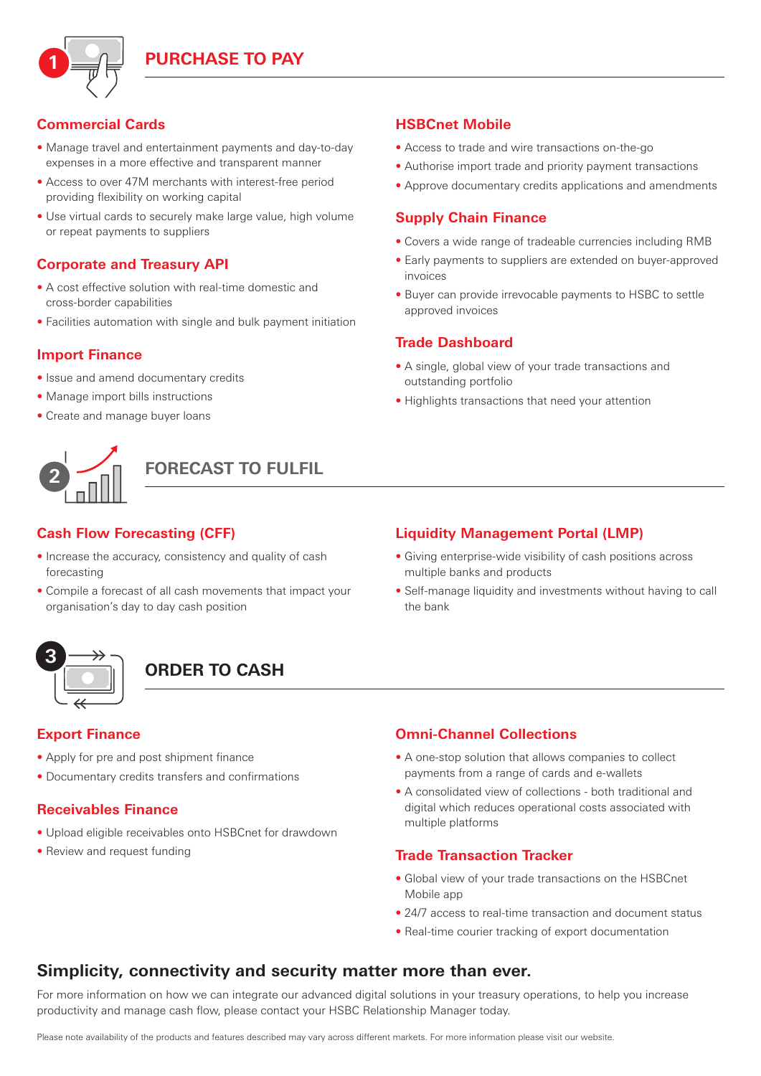

## **Commercial Cards**

- Manage travel and entertainment payments and day-to-day expenses in a more effective and transparent manner
- Access to over 47M merchants with interest-free period providing flexibility on working capital
- Use virtual cards to securely make large value, high volume or repeat payments to suppliers

#### **Corporate and Treasury API**

- A cost effective solution with real-time domestic and cross-border capabilities
- Facilities automation with single and bulk payment initiation

#### **Import Finance**

- Issue and amend documentary credits
- Manage import bills instructions
- Create and manage buyer loans



**FORECAST TO FULFIL**

#### **Cash Flow Forecasting (CFF)**

- Increase the accuracy, consistency and quality of cash forecasting
- Compile a forecast of all cash movements that impact your organisation's day to day cash position

# **3**

# **ORDER TO CASH**

#### **Export Finance**

- Apply for pre and post shipment finance
- Documentary credits transfers and confirmations

#### **Receivables Finance**

- Upload eligible receivables onto HSBCnet for drawdown
- Review and request funding

#### **HSBCnet Mobile**

- Access to trade and wire transactions on-the-go
- Authorise import trade and priority payment transactions
- Approve documentary credits applications and amendments

#### **Supply Chain Finance**

- Covers a wide range of tradeable currencies including RMB
- Early payments to suppliers are extended on buyer-approved invoices
- Buyer can provide irrevocable payments to HSBC to settle approved invoices

#### **Trade Dashboard**

- A single, global view of your trade transactions and outstanding portfolio
- Highlights transactions that need your attention

#### **Liquidity Management Portal (LMP)**

- Giving enterprise-wide visibility of cash positions across multiple banks and products
- Self-manage liquidity and investments without having to call the bank

#### **Omni-Channel Collections**

- A one-stop solution that allows companies to collect payments from a range of cards and e-wallets
- A consolidated view of collections both traditional and digital which reduces operational costs associated with multiple platforms

#### **Trade Transaction Tracker**

- Global view of your trade transactions on the HSBCnet Mobile app
- 24/7 access to real-time transaction and document status
- Real-time courier tracking of export documentation

### **Simplicity, connectivity and security matter more than ever.**

For more information on how we can integrate our advanced digital solutions in your treasury operations, to help you increase productivity and manage cash flow, please contact your HSBC Relationship Manager today.

Please note availability of the products and features described may vary across different markets. For more information please visit our [website](https://www.business.hsbc.com.au/en-au/innovation-digital-transformation).